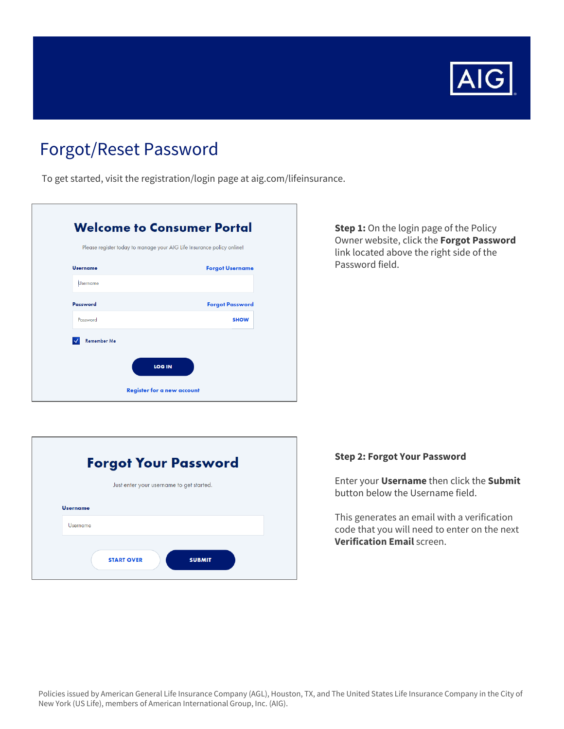

# Forgot/Reset Password

To get started, visit the registration/login page at aig.com/lifeinsurance.

|                    | Please register today to manage your AIG Life Insurance policy online! |
|--------------------|------------------------------------------------------------------------|
| <b>Username</b>    | <b>Forgot Username</b>                                                 |
| <b>Username</b>    |                                                                        |
| Password           | <b>Forgot Password</b>                                                 |
| Password           | <b>SHOW</b>                                                            |
| <b>Remember Me</b> |                                                                        |
|                    |                                                                        |

### **Step 1:** On the login page of the Policy Owner website, click the **Forgot Password**  link located above the right side of the Password field.

|                                          | <b>Forgot Your Password</b>        |  |
|------------------------------------------|------------------------------------|--|
| Just enter your username to get started. |                                    |  |
| <b>Username</b>                          |                                    |  |
| Username                                 |                                    |  |
|                                          | <b>START OVER</b><br><b>SUBMIT</b> |  |

## **Step 2: Forgot Your Password**

Enter your **Username** then click the **Submit**  button below the Username field.

 This generates an email with a verification code that you will need to enter on the next **Verification Email** screen.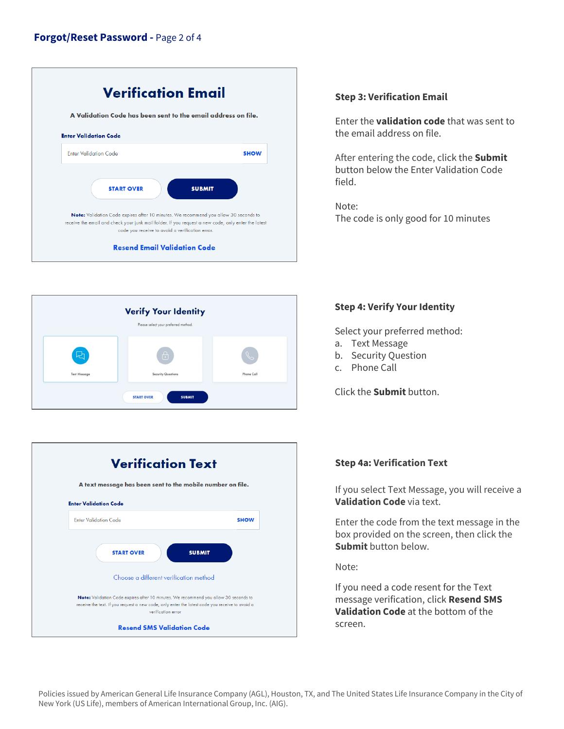



## **Verification Text A text message has been sent to the mobile number on file. Enter Validation Code**  Enter Validation Code SHOW START OVER SUBMIT Choose a different verification method Note: Validation Code expires after 10 minutes. We recommend you allow 30 seconds to receive the text. If you request a new code, only enter the latest code you receive lo ovoid a ve rification error Resend SMS Validation Code

## **Step 3: Verification Email**

Enter the **validation code** that was sent to the email address on file.

 After entering the code, click the **Submit**  button below the Enter Validation Code field.

 The code is only good for 10 minutes Note:

## **Step 4: Verify Your Identity**

Select your preferred method:

- a. Text Message
- b. Security Question
- c. Phone Call

Click the **Submit** button.



## **Step 4a: Verification Text**

 If you select Text Message, you will receive a **Validation Code** via text.

 box provided on the screen, then click the Enter the code from the text message in the **Submit** button below.

Note:

 If you need a code resent for the Text **Validation Code** at the bottom of the message verification, click **Resend SMS**  screen.

 Policies issued by American General Life Insurance Company (AGL), Houston, TX, and The United States Life Insurance Company in the City of New York (US Life), members of American International Group, Inc. (AIG).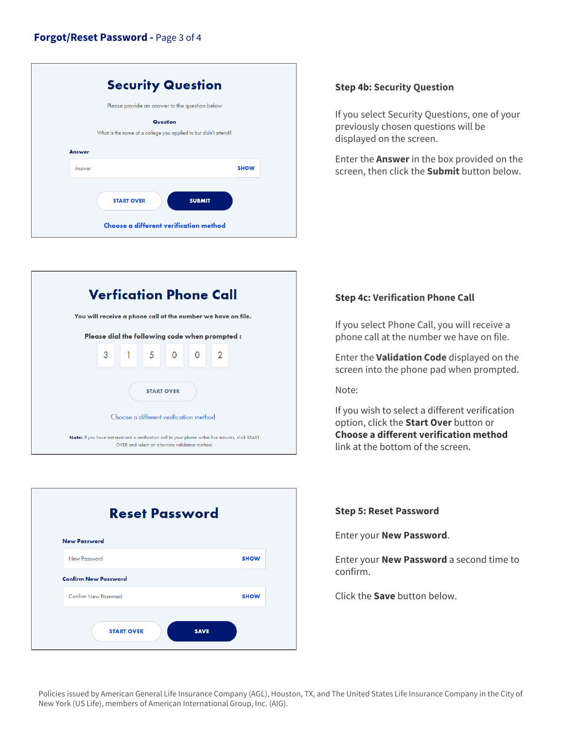## **Forgot/Reset Password -** Page 3 of 4

| Please provide an answer to the question below<br>Question<br>What is the name of a college you applied to but didn't attend? |             |
|-------------------------------------------------------------------------------------------------------------------------------|-------------|
|                                                                                                                               |             |
|                                                                                                                               |             |
| <b>Answer</b>                                                                                                                 |             |
| Answer                                                                                                                        | <b>SHOW</b> |
| <b>START OVER</b><br><b>SUBMIT</b>                                                                                            |             |

#### **Step 4b: Security Question**

If you select Security Questions, one of your previously chosen questions will be displayed on the screen.

 screen, then click the **Submit** button below. Enter the **Answer** in the box provided on the





### **Step 4c: Verification Phone Call**

 phone call at the number we have on file. If you select Phone Call, you will receive a

 screen into the phone pad when prompted. Enter the **Validation Code** displayed on the

Note:

 If you wish to select a different verification link at the bottom of the screen. option, click the **Start Over** button or **Choose a different verification method** 

#### **Step 5: Reset Password**

Enter your **New Password**.

Enter your **New Password** a second time to confirm.

Click the **Save** button below.

 Policies issued by American General Life Insurance Company (AGL), Houston, TX, and The United States Life Insurance Company in the City of New York (US Life), members of American International Group, Inc. (AIG).